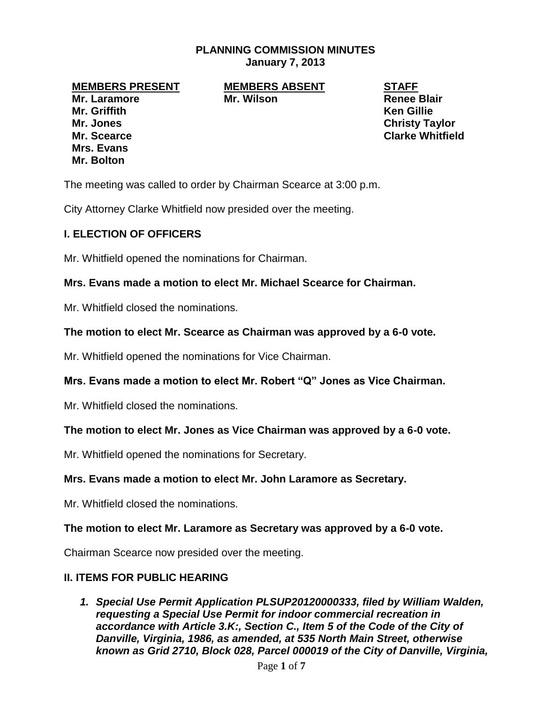# **PLANNING COMMISSION MINUTES January 7, 2013**

**Mr. Laramore Mr. Wilson Renee Blair Mr. Griffith Ken Gillie Mr. Jones Christy Taylor Mr. Scearce Clarke Whitfield Mrs. Evans Mr. Bolton**

**MEMBERS PRESENT MEMBERS ABSENT STAFF**

The meeting was called to order by Chairman Scearce at 3:00 p.m.

City Attorney Clarke Whitfield now presided over the meeting.

# **I. ELECTION OF OFFICERS**

Mr. Whitfield opened the nominations for Chairman.

## **Mrs. Evans made a motion to elect Mr. Michael Scearce for Chairman.**

Mr. Whitfield closed the nominations.

## **The motion to elect Mr. Scearce as Chairman was approved by a 6-0 vote.**

Mr. Whitfield opened the nominations for Vice Chairman.

# **Mrs. Evans made a motion to elect Mr. Robert "Q" Jones as Vice Chairman.**

Mr. Whitfield closed the nominations.

# **The motion to elect Mr. Jones as Vice Chairman was approved by a 6-0 vote.**

Mr. Whitfield opened the nominations for Secretary.

#### **Mrs. Evans made a motion to elect Mr. John Laramore as Secretary.**

Mr. Whitfield closed the nominations.

#### **The motion to elect Mr. Laramore as Secretary was approved by a 6-0 vote.**

Chairman Scearce now presided over the meeting.

#### **II. ITEMS FOR PUBLIC HEARING**

*1. Special Use Permit Application PLSUP20120000333, filed by William Walden, requesting a Special Use Permit for indoor commercial recreation in accordance with Article 3.K:, Section C., Item 5 of the Code of the City of Danville, Virginia, 1986, as amended, at 535 North Main Street, otherwise known as Grid 2710, Block 028, Parcel 000019 of the City of Danville, Virginia,*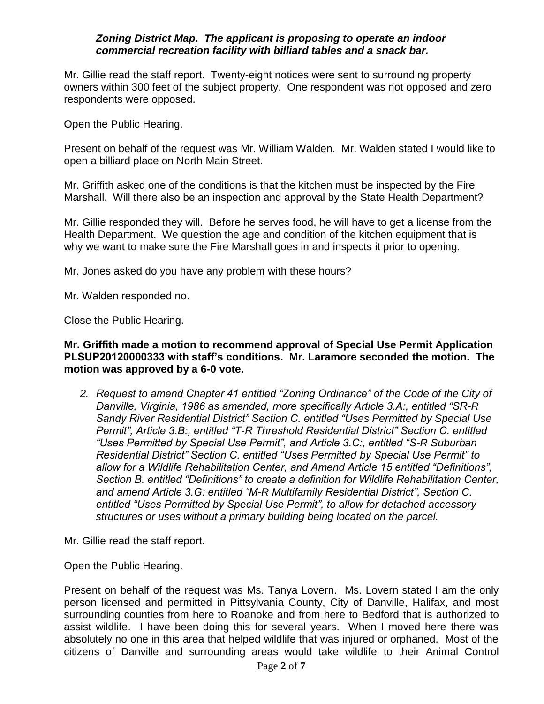# *Zoning District Map. The applicant is proposing to operate an indoor commercial recreation facility with billiard tables and a snack bar.*

Mr. Gillie read the staff report. Twenty-eight notices were sent to surrounding property owners within 300 feet of the subject property. One respondent was not opposed and zero respondents were opposed.

Open the Public Hearing.

Present on behalf of the request was Mr. William Walden. Mr. Walden stated I would like to open a billiard place on North Main Street.

Mr. Griffith asked one of the conditions is that the kitchen must be inspected by the Fire Marshall. Will there also be an inspection and approval by the State Health Department?

Mr. Gillie responded they will. Before he serves food, he will have to get a license from the Health Department. We question the age and condition of the kitchen equipment that is why we want to make sure the Fire Marshall goes in and inspects it prior to opening.

Mr. Jones asked do you have any problem with these hours?

Mr. Walden responded no.

Close the Public Hearing.

## **Mr. Griffith made a motion to recommend approval of Special Use Permit Application PLSUP20120000333 with staff's conditions. Mr. Laramore seconded the motion. The motion was approved by a 6-0 vote.**

*2. Request to amend Chapter 41 entitled "Zoning Ordinance" of the Code of the City of Danville, Virginia, 1986 as amended, more specifically Article 3.A:, entitled "SR-R Sandy River Residential District" Section C. entitled "Uses Permitted by Special Use Permit", Article 3.B:, entitled "T-R Threshold Residential District" Section C. entitled "Uses Permitted by Special Use Permit", and Article 3.C:, entitled "S-R Suburban Residential District" Section C. entitled "Uses Permitted by Special Use Permit" to allow for a Wildlife Rehabilitation Center, and Amend Article 15 entitled "Definitions", Section B. entitled "Definitions" to create a definition for Wildlife Rehabilitation Center, and amend Article 3.G: entitled "M-R Multifamily Residential District", Section C. entitled "Uses Permitted by Special Use Permit", to allow for detached accessory structures or uses without a primary building being located on the parcel.*

Mr. Gillie read the staff report.

Open the Public Hearing.

Present on behalf of the request was Ms. Tanya Lovern. Ms. Lovern stated I am the only person licensed and permitted in Pittsylvania County, City of Danville, Halifax, and most surrounding counties from here to Roanoke and from here to Bedford that is authorized to assist wildlife. I have been doing this for several years. When I moved here there was absolutely no one in this area that helped wildlife that was injured or orphaned. Most of the citizens of Danville and surrounding areas would take wildlife to their Animal Control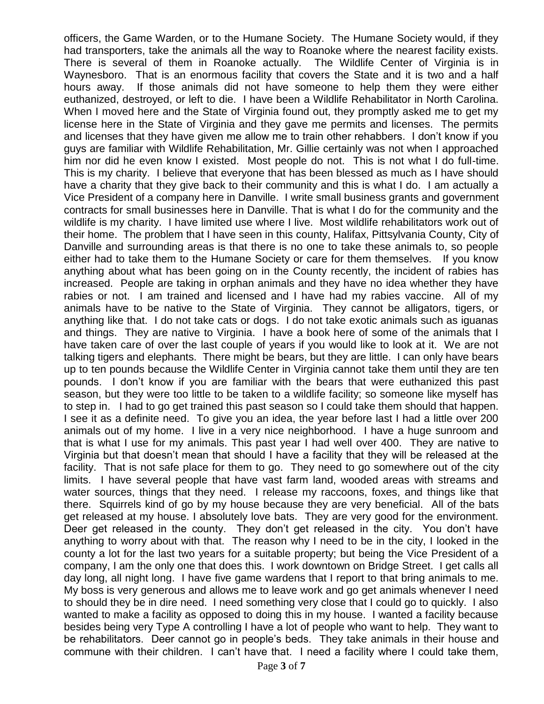officers, the Game Warden, or to the Humane Society. The Humane Society would, if they had transporters, take the animals all the way to Roanoke where the nearest facility exists. There is several of them in Roanoke actually. The Wildlife Center of Virginia is in Waynesboro. That is an enormous facility that covers the State and it is two and a half hours away. If those animals did not have someone to help them they were either euthanized, destroyed, or left to die. I have been a Wildlife Rehabilitator in North Carolina. When I moved here and the State of Virginia found out, they promptly asked me to get my license here in the State of Virginia and they gave me permits and licenses. The permits and licenses that they have given me allow me to train other rehabbers. I don't know if you guys are familiar with Wildlife Rehabilitation, Mr. Gillie certainly was not when I approached him nor did he even know I existed. Most people do not. This is not what I do full-time. This is my charity. I believe that everyone that has been blessed as much as I have should have a charity that they give back to their community and this is what I do. I am actually a Vice President of a company here in Danville. I write small business grants and government contracts for small businesses here in Danville. That is what I do for the community and the wildlife is my charity. I have limited use where I live. Most wildlife rehabilitators work out of their home. The problem that I have seen in this county, Halifax, Pittsylvania County, City of Danville and surrounding areas is that there is no one to take these animals to, so people either had to take them to the Humane Society or care for them themselves. If you know anything about what has been going on in the County recently, the incident of rabies has increased. People are taking in orphan animals and they have no idea whether they have rabies or not. I am trained and licensed and I have had my rabies vaccine. All of my animals have to be native to the State of Virginia. They cannot be alligators, tigers, or anything like that. I do not take cats or dogs. I do not take exotic animals such as iguanas and things. They are native to Virginia. I have a book here of some of the animals that I have taken care of over the last couple of years if you would like to look at it. We are not talking tigers and elephants. There might be bears, but they are little. I can only have bears up to ten pounds because the Wildlife Center in Virginia cannot take them until they are ten pounds. I don't know if you are familiar with the bears that were euthanized this past season, but they were too little to be taken to a wildlife facility; so someone like myself has to step in. I had to go get trained this past season so I could take them should that happen. I see it as a definite need. To give you an idea, the year before last I had a little over 200 animals out of my home. I live in a very nice neighborhood. I have a huge sunroom and that is what I use for my animals. This past year I had well over 400. They are native to Virginia but that doesn't mean that should I have a facility that they will be released at the facility. That is not safe place for them to go. They need to go somewhere out of the city limits. I have several people that have vast farm land, wooded areas with streams and water sources, things that they need. I release my raccoons, foxes, and things like that there. Squirrels kind of go by my house because they are very beneficial. All of the bats get released at my house. I absolutely love bats. They are very good for the environment. Deer get released in the county. They don't get released in the city. You don't have anything to worry about with that. The reason why I need to be in the city, I looked in the county a lot for the last two years for a suitable property; but being the Vice President of a company, I am the only one that does this. I work downtown on Bridge Street. I get calls all day long, all night long. I have five game wardens that I report to that bring animals to me. My boss is very generous and allows me to leave work and go get animals whenever I need to should they be in dire need. I need something very close that I could go to quickly. I also wanted to make a facility as opposed to doing this in my house. I wanted a facility because besides being very Type A controlling I have a lot of people who want to help. They want to be rehabilitators. Deer cannot go in people's beds. They take animals in their house and commune with their children. I can't have that. I need a facility where I could take them,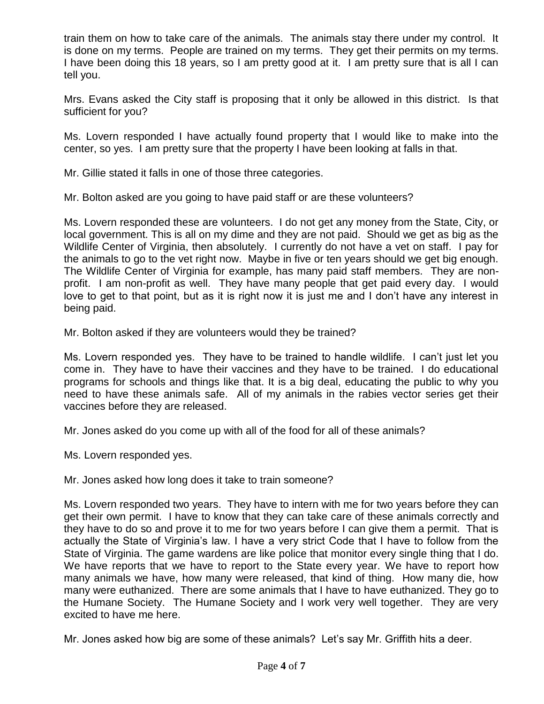train them on how to take care of the animals. The animals stay there under my control. It is done on my terms. People are trained on my terms. They get their permits on my terms. I have been doing this 18 years, so I am pretty good at it. I am pretty sure that is all I can tell you.

Mrs. Evans asked the City staff is proposing that it only be allowed in this district. Is that sufficient for you?

Ms. Lovern responded I have actually found property that I would like to make into the center, so yes. I am pretty sure that the property I have been looking at falls in that.

Mr. Gillie stated it falls in one of those three categories.

Mr. Bolton asked are you going to have paid staff or are these volunteers?

Ms. Lovern responded these are volunteers. I do not get any money from the State, City, or local government. This is all on my dime and they are not paid. Should we get as big as the Wildlife Center of Virginia, then absolutely. I currently do not have a vet on staff. I pay for the animals to go to the vet right now. Maybe in five or ten years should we get big enough. The Wildlife Center of Virginia for example, has many paid staff members. They are nonprofit. I am non-profit as well. They have many people that get paid every day. I would love to get to that point, but as it is right now it is just me and I don't have any interest in being paid.

Mr. Bolton asked if they are volunteers would they be trained?

Ms. Lovern responded yes. They have to be trained to handle wildlife. I can't just let you come in. They have to have their vaccines and they have to be trained. I do educational programs for schools and things like that. It is a big deal, educating the public to why you need to have these animals safe. All of my animals in the rabies vector series get their vaccines before they are released.

Mr. Jones asked do you come up with all of the food for all of these animals?

Ms. Lovern responded yes.

Mr. Jones asked how long does it take to train someone?

Ms. Lovern responded two years. They have to intern with me for two years before they can get their own permit. I have to know that they can take care of these animals correctly and they have to do so and prove it to me for two years before I can give them a permit. That is actually the State of Virginia's law. I have a very strict Code that I have to follow from the State of Virginia. The game wardens are like police that monitor every single thing that I do. We have reports that we have to report to the State every year. We have to report how many animals we have, how many were released, that kind of thing. How many die, how many were euthanized. There are some animals that I have to have euthanized. They go to the Humane Society. The Humane Society and I work very well together. They are very excited to have me here.

Mr. Jones asked how big are some of these animals? Let's say Mr. Griffith hits a deer.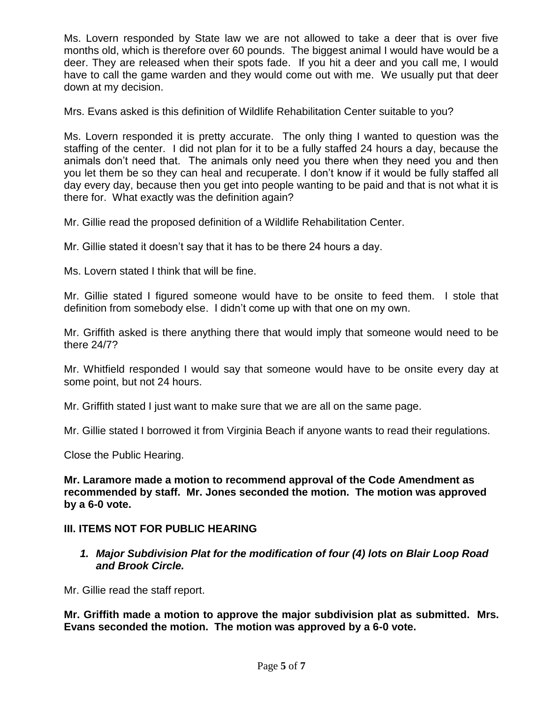Ms. Lovern responded by State law we are not allowed to take a deer that is over five months old, which is therefore over 60 pounds. The biggest animal I would have would be a deer. They are released when their spots fade. If you hit a deer and you call me, I would have to call the game warden and they would come out with me. We usually put that deer down at my decision.

Mrs. Evans asked is this definition of Wildlife Rehabilitation Center suitable to you?

Ms. Lovern responded it is pretty accurate. The only thing I wanted to question was the staffing of the center. I did not plan for it to be a fully staffed 24 hours a day, because the animals don't need that. The animals only need you there when they need you and then you let them be so they can heal and recuperate. I don't know if it would be fully staffed all day every day, because then you get into people wanting to be paid and that is not what it is there for. What exactly was the definition again?

Mr. Gillie read the proposed definition of a Wildlife Rehabilitation Center.

Mr. Gillie stated it doesn't say that it has to be there 24 hours a day.

Ms. Lovern stated I think that will be fine.

Mr. Gillie stated I figured someone would have to be onsite to feed them. I stole that definition from somebody else. I didn't come up with that one on my own.

Mr. Griffith asked is there anything there that would imply that someone would need to be there 24/7?

Mr. Whitfield responded I would say that someone would have to be onsite every day at some point, but not 24 hours.

Mr. Griffith stated I just want to make sure that we are all on the same page.

Mr. Gillie stated I borrowed it from Virginia Beach if anyone wants to read their regulations.

Close the Public Hearing.

**Mr. Laramore made a motion to recommend approval of the Code Amendment as recommended by staff. Mr. Jones seconded the motion. The motion was approved by a 6-0 vote.**

# **III. ITEMS NOT FOR PUBLIC HEARING**

*1. Major Subdivision Plat for the modification of four (4) lots on Blair Loop Road and Brook Circle.*

Mr. Gillie read the staff report.

**Mr. Griffith made a motion to approve the major subdivision plat as submitted. Mrs. Evans seconded the motion. The motion was approved by a 6-0 vote.**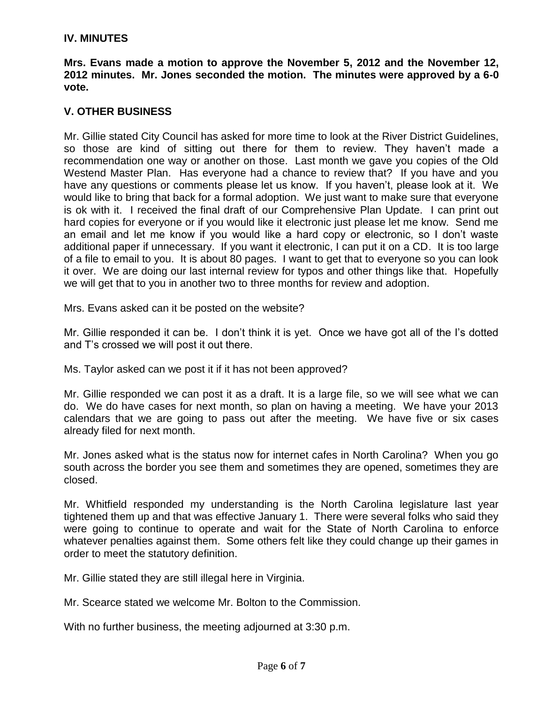# **IV. MINUTES**

**Mrs. Evans made a motion to approve the November 5, 2012 and the November 12, 2012 minutes. Mr. Jones seconded the motion. The minutes were approved by a 6-0 vote.**

## **V. OTHER BUSINESS**

Mr. Gillie stated City Council has asked for more time to look at the River District Guidelines, so those are kind of sitting out there for them to review. They haven't made a recommendation one way or another on those. Last month we gave you copies of the Old Westend Master Plan. Has everyone had a chance to review that? If you have and you have any questions or comments please let us know. If you haven't, please look at it. We would like to bring that back for a formal adoption. We just want to make sure that everyone is ok with it. I received the final draft of our Comprehensive Plan Update. I can print out hard copies for everyone or if you would like it electronic just please let me know. Send me an email and let me know if you would like a hard copy or electronic, so I don't waste additional paper if unnecessary. If you want it electronic, I can put it on a CD. It is too large of a file to email to you. It is about 80 pages. I want to get that to everyone so you can look it over. We are doing our last internal review for typos and other things like that. Hopefully we will get that to you in another two to three months for review and adoption.

Mrs. Evans asked can it be posted on the website?

Mr. Gillie responded it can be. I don't think it is yet. Once we have got all of the I's dotted and T's crossed we will post it out there.

Ms. Taylor asked can we post it if it has not been approved?

Mr. Gillie responded we can post it as a draft. It is a large file, so we will see what we can do. We do have cases for next month, so plan on having a meeting. We have your 2013 calendars that we are going to pass out after the meeting. We have five or six cases already filed for next month.

Mr. Jones asked what is the status now for internet cafes in North Carolina? When you go south across the border you see them and sometimes they are opened, sometimes they are closed.

Mr. Whitfield responded my understanding is the North Carolina legislature last year tightened them up and that was effective January 1. There were several folks who said they were going to continue to operate and wait for the State of North Carolina to enforce whatever penalties against them. Some others felt like they could change up their games in order to meet the statutory definition.

Mr. Gillie stated they are still illegal here in Virginia.

Mr. Scearce stated we welcome Mr. Bolton to the Commission.

With no further business, the meeting adjourned at 3:30 p.m.